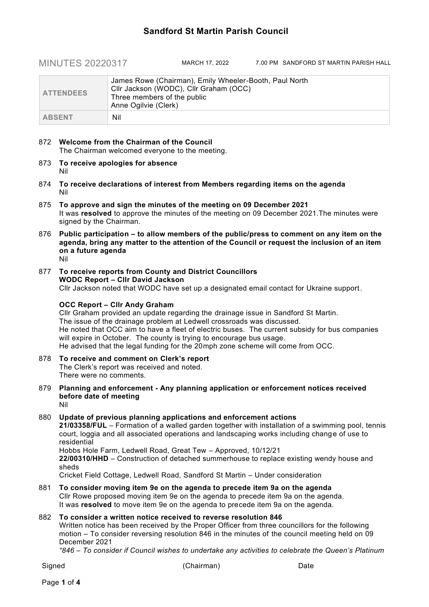## **Sandford St Martin Parish Council**

MINUTES 20220317 MARCH 17, 2022 7.00 PM SANDFORD ST MARTIN PARISH HALL

| <b>ATTENDEES</b> | James Rowe (Chairman), Emily Wheeler-Booth, Paul North<br>Cllr Jackson (WODC), Cllr Graham (OCC)<br>Three members of the public<br>Anne Ogilvie (Clerk) |
|------------------|---------------------------------------------------------------------------------------------------------------------------------------------------------|
| <b>ABSENT</b>    | Nil                                                                                                                                                     |

- 872 **Welcome from the Chairman of the Council** The Chairman welcomed everyone to the meeting.
- 873 **To receive apologies for absence** Nil
- 874 **To receive declarations of interest from Members regarding items on the agenda** Nil
- 875 **To approve and sign the minutes of the meeting on 09 December 2021** It was **resolved** to approve the minutes of the meeting on 09 December 2021.The minutes were signed by the Chairman.
- 876 **Public participation – to allow members of the public/press to comment on any item on the agenda, bring any matter to the attention of the Council or request the inclusion of an item on a future agenda**

Nil

877 **To receive reports from County and District Councillors WODC Report – Cllr David Jackson** Cllr Jackson noted that WODC have set up a designated email contact for Ukraine support.

#### **OCC Report – Cllr Andy Graham**

Cllr Graham provided an update regarding the drainage issue in Sandford St Martin. The issue of the drainage problem at Ledwell crossroads was discussed. He noted that OCC aim to have a fleet of electric buses. The current subsidy for bus companies will expire in October. The county is trying to encourage bus usage. He advised that the legal funding for the 20mph zone scheme will come from OCC.

- 878 **To receive and comment on Clerk's report** The Clerk's report was received and noted. There were no comments.
- 879 **Planning and enforcement - Any planning application or enforcement notices received before date of meeting** Nil

### 880 **Update of previous planning applications and enforcement actions**

**21/03358/FUL** – Formation of a walled garden together with installation of a swimming pool, tennis court, loggia and all associated operations and landscaping works including change of use to residential

Hobbs Hole Farm, Ledwell Road, Great Tew – Approved, 10/12/21

**22/00310/HHD** – Construction of detached summerhouse to replace existing wendy house and sheds

Cricket Field Cottage, Ledwell Road, Sandford St Martin – Under consideration

881 **To consider moving item 9e on the agenda to precede item 9a on the agenda** Cllr Rowe proposed moving item 9e on the agenda to precede item 9a on the agenda. It was **resolved** to move item 9e on the agenda to precede item 9a on the agenda.

#### 882 **To consider a written notice received to reverse resolution 846**

Written notice has been received by the Proper Officer from three councillors for the following motion – To consider reversing resolution 846 in the minutes of the council meeting held on 09 December 2021

*"846 – To consider if Council wishes to undertake any activities to celebrate the Queen's Platinum*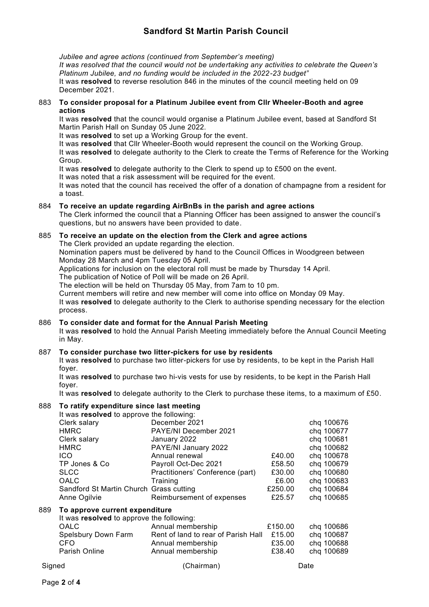# **Sandford St Martin Parish Council**

*Jubilee and agree actions (continued from September's meeting)*

*It was resolved that the council would not be undertaking any activities to celebrate the Queen's Platinum Jubilee, and no funding would be included in the 2022-23 budget"*

It was **resolved** to reverse resolution 846 in the minutes of the council meeting held on 09 December 2021.

#### 883 **To consider proposal for a Platinum Jubilee event from Cllr Wheeler-Booth and agree actions**

It was **resolved** that the council would organise a Platinum Jubilee event, based at Sandford St Martin Parish Hall on Sunday 05 June 2022.

It was **resolved** to set up a Working Group for the event.

It was **resolved** that Cllr Wheeler-Booth would represent the council on the Working Group.

It was **resolved** to delegate authority to the Clerk to create the Terms of Reference for the Working Group.

It was **resolved** to delegate authority to the Clerk to spend up to £500 on the event.

It was noted that a risk assessment will be required for the event.

It was noted that the council has received the offer of a donation of champagne from a resident for a toast.

#### 884 **To receive an update regarding AirBnBs in the parish and agree actions**

The Clerk informed the council that a Planning Officer has been assigned to answer the council's questions, but no answers have been provided to date.

#### 885 **To receive an update on the election from the Clerk and agree actions**

The Clerk provided an update regarding the election.

Nomination papers must be delivered by hand to the Council Offices in Woodgreen between Monday 28 March and 4pm Tuesday 05 April.

Applications for inclusion on the electoral roll must be made by Thursday 14 April.

The publication of Notice of Poll will be made on 26 April.

The election will be held on Thursday 05 May, from 7am to 10 pm.

Current members will retire and new member will come into office on Monday 09 May.

It was **resolved** to delegate authority to the Clerk to authorise spending necessary for the election process.

#### 886 **To consider date and format for the Annual Parish Meeting**

It was **resolved** to hold the Annual Parish Meeting immediately before the Annual Council Meeting in May.

#### 887 **To consider purchase two litter-pickers for use by residents**

It was **resolved** to purchase two litter-pickers for use by residents, to be kept in the Parish Hall foyer.

It was **resolved** to purchase two hi-vis vests for use by residents, to be kept in the Parish Hall foyer.

It was **resolved** to delegate authority to the Clerk to purchase these items, to a maximum of £50.

#### 888 **To ratify expenditure since last meeting**

|     | It was resolved to approve the following: |                                     |         |            |  |  |
|-----|-------------------------------------------|-------------------------------------|---------|------------|--|--|
|     | Clerk salary                              | December 2021                       |         | chq 100676 |  |  |
|     | <b>HMRC</b>                               | <b>PAYE/NI December 2021</b>        |         | chq 100677 |  |  |
|     | Clerk salary                              | January 2022                        |         | chq 100681 |  |  |
|     | <b>HMRC</b>                               | PAYE/NI January 2022                |         | chq 100682 |  |  |
|     | <b>ICO</b>                                | Annual renewal                      | £40.00  | chq 100678 |  |  |
|     | TP Jones & Co                             | Payroll Oct-Dec 2021                | £58.50  | chq 100679 |  |  |
|     | <b>SLCC</b>                               | Practitioners' Conference (part)    | £30.00  | chq 100680 |  |  |
|     | <b>OALC</b>                               | Training                            | £6.00   | chq 100683 |  |  |
|     | Sandford St Martin Church Grass cutting   |                                     | £250.00 | chq 100684 |  |  |
|     | Anne Ogilvie                              | Reimbursement of expenses           | £25.57  | chq 100685 |  |  |
| 889 | To approve current expenditure            |                                     |         |            |  |  |
|     | It was resolved to approve the following: |                                     |         |            |  |  |
|     | <b>OALC</b>                               | Annual membership                   | £150.00 | chq 100686 |  |  |
|     | Spelsbury Down Farm                       | Rent of land to rear of Parish Hall | £15.00  | chq 100687 |  |  |
|     | CFO                                       | Annual membership                   | £35.00  | chq 100688 |  |  |
|     | <b>Parish Online</b>                      | Annual membership                   | £38.40  | chq 100689 |  |  |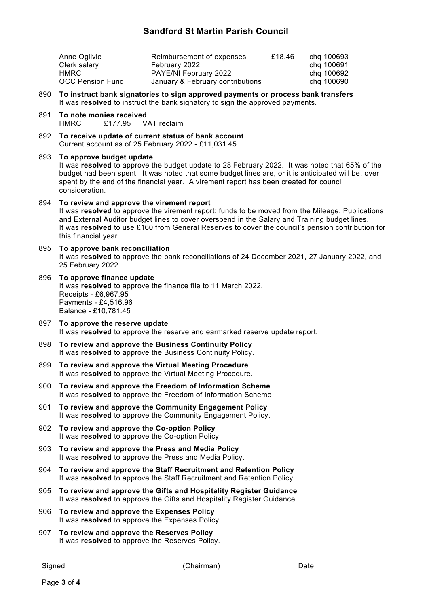### **Sandford St Martin Parish Council**

| Anne Ogilvie            | Reimbursement of expenses        | £18.46 | chg 100693 |
|-------------------------|----------------------------------|--------|------------|
| Clerk salary            | February 2022                    |        | chg 100691 |
| HMRC.                   | PAYE/NI February 2022            |        | chg 100692 |
| <b>OCC Pension Fund</b> | January & February contributions |        | chg 100690 |

890 **To instruct bank signatories to sign approved payments or process bank transfers** It was **resolved** to instruct the bank signatory to sign the approved payments.

- 891 **To note monies received** HMRC £177.95 VAT reclaim
- 892 **To receive update of current status of bank account** Current account as of 25 February 2022 - £11,031.45.

#### 893 **To approve budget update**

It was **resolved** to approve the budget update to 28 February 2022. It was noted that 65% of the budget had been spent. It was noted that some budget lines are, or it is anticipated will be, over spent by the end of the financial year. A virement report has been created for council consideration.

### 894 **To review and approve the virement report**

It was **resolved** to approve the virement report: funds to be moved from the Mileage, Publications and External Auditor budget lines to cover overspend in the Salary and Training budget lines. It was **resolved** to use £160 from General Reserves to cover the council's pension contribution for this financial year.

- 895 **To approve bank reconciliation** It was **resolved** to approve the bank reconciliations of 24 December 2021, 27 January 2022, and 25 February 2022.
- 896 **To approve finance update** It was **resolved** to approve the finance file to 11 March 2022. Receipts - £6,967.95 Payments - £4,516.96 Balance - £10,781.45
- 897 **To approve the reserve update** It was **resolved** to approve the reserve and earmarked reserve update report.
- 898 **To review and approve the Business Continuity Policy** It was **resolved** to approve the Business Continuity Policy.
- 899 **To review and approve the Virtual Meeting Procedure** It was **resolved** to approve the Virtual Meeting Procedure.
- 900 **To review and approve the Freedom of Information Scheme** It was **resolved** to approve the Freedom of Information Scheme
- 901 **To review and approve the Community Engagement Policy** It was **resolved** to approve the Community Engagement Policy.
- 902 **To review and approve the Co-option Policy** It was **resolved** to approve the Co-option Policy.
- 903 **To review and approve the Press and Media Policy** It was **resolved** to approve the Press and Media Policy.
- 904 **To review and approve the Staff Recruitment and Retention Policy** It was **resolved** to approve the Staff Recruitment and Retention Policy.
- 905 **To review and approve the Gifts and Hospitality Register Guidance** It was **resolved** to approve the Gifts and Hospitality Register Guidance.
- 906 **To review and approve the Expenses Policy** It was **resolved** to approve the Expenses Policy.
- 907 **To review and approve the Reserves Policy** It was **resolved** to approve the Reserves Policy.